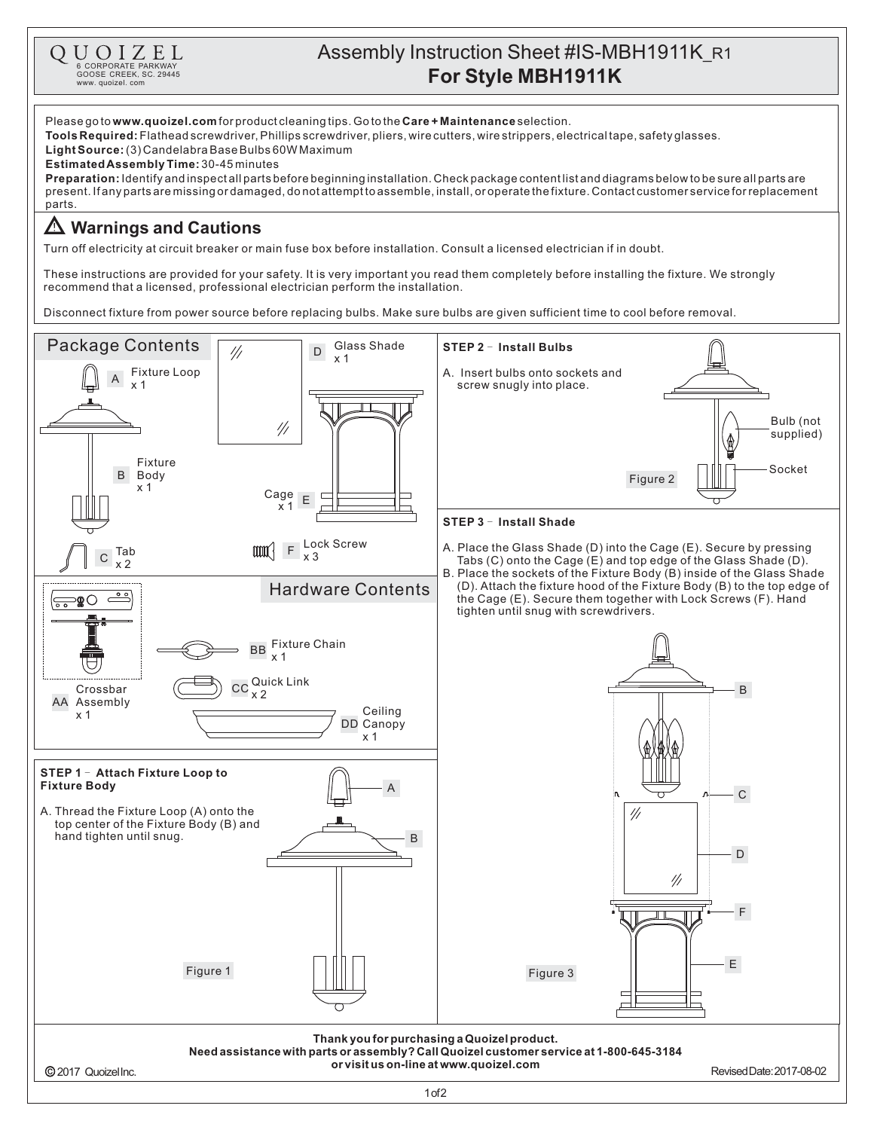## Assembly Instruction Sheet #IS-MBH1911K\_R1 **R FOR STRUCK OF PORTRE PARKWAY**<br> **For Style MBH1911K** (MBH1911K)

GOOSE CREEK, SC. 29445 www. quoizel. com